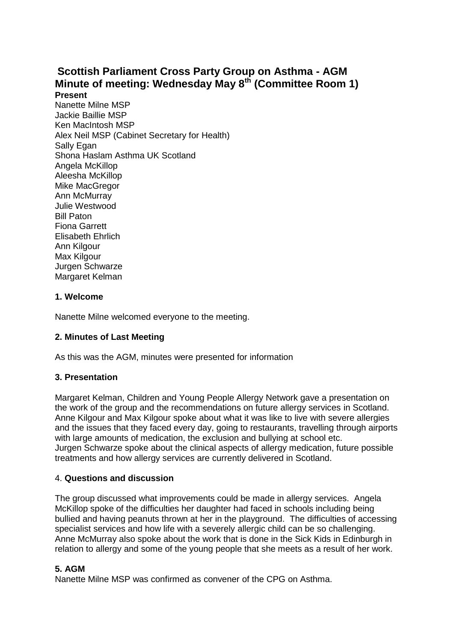# **Scottish Parliament Cross Party Group on Asthma - AGM Minute of meeting: Wednesday May 8th (Committee Room 1) Present**

Nanette Milne MSP Jackie Baillie MSP Ken MacIntosh MSP Alex Neil MSP (Cabinet Secretary for Health) Sally Egan Shona Haslam Asthma UK Scotland Angela McKillop Aleesha McKillop Mike MacGregor Ann McMurray Julie Westwood Bill Paton Fiona Garrett Elisabeth Ehrlich Ann Kilgour Max Kilgour Jurgen Schwarze Margaret Kelman

## **1. Welcome**

Nanette Milne welcomed everyone to the meeting.

## **2. Minutes of Last Meeting**

As this was the AGM, minutes were presented for information

## **3. Presentation**

Margaret Kelman, Children and Young People Allergy Network gave a presentation on the work of the group and the recommendations on future allergy services in Scotland. Anne Kilgour and Max Kilgour spoke about what it was like to live with severe allergies and the issues that they faced every day, going to restaurants, travelling through airports with large amounts of medication, the exclusion and bullying at school etc. Jurgen Schwarze spoke about the clinical aspects of allergy medication, future possible treatments and how allergy services are currently delivered in Scotland.

#### 4. **Questions and discussion**

The group discussed what improvements could be made in allergy services. Angela McKillop spoke of the difficulties her daughter had faced in schools including being bullied and having peanuts thrown at her in the playground. The difficulties of accessing specialist services and how life with a severely allergic child can be so challenging. Anne McMurray also spoke about the work that is done in the Sick Kids in Edinburgh in relation to allergy and some of the young people that she meets as a result of her work.

#### **5. AGM**

Nanette Milne MSP was confirmed as convener of the CPG on Asthma.